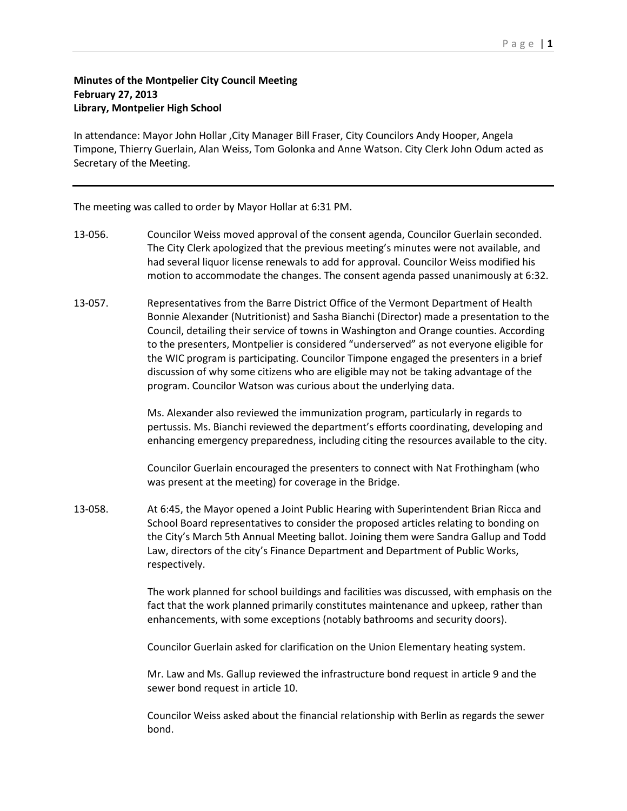## Page | **1**

## **Minutes of the Montpelier City Council Meeting February 27, 2013 Library, Montpelier High School**

In attendance: Mayor John Hollar ,City Manager Bill Fraser, City Councilors Andy Hooper, Angela Timpone, Thierry Guerlain, Alan Weiss, Tom Golonka and Anne Watson. City Clerk John Odum acted as Secretary of the Meeting.

The meeting was called to order by Mayor Hollar at 6:31 PM.

- 13-056. Councilor Weiss moved approval of the consent agenda, Councilor Guerlain seconded. The City Clerk apologized that the previous meeting's minutes were not available, and had several liquor license renewals to add for approval. Councilor Weiss modified his motion to accommodate the changes. The consent agenda passed unanimously at 6:32.
- 13-057. Representatives from the Barre District Office of the Vermont Department of Health Bonnie Alexander (Nutritionist) and Sasha Bianchi (Director) made a presentation to the Council, detailing their service of towns in Washington and Orange counties. According to the presenters, Montpelier is considered "underserved" as not everyone eligible for the WIC program is participating. Councilor Timpone engaged the presenters in a brief discussion of why some citizens who are eligible may not be taking advantage of the program. Councilor Watson was curious about the underlying data.

Ms. Alexander also reviewed the immunization program, particularly in regards to pertussis. Ms. Bianchi reviewed the department's efforts coordinating, developing and enhancing emergency preparedness, including citing the resources available to the city.

Councilor Guerlain encouraged the presenters to connect with Nat Frothingham (who was present at the meeting) for coverage in the Bridge.

13-058. At 6:45, the Mayor opened a Joint Public Hearing with Superintendent Brian Ricca and School Board representatives to consider the proposed articles relating to bonding on the City's March 5th Annual Meeting ballot. Joining them were Sandra Gallup and Todd Law, directors of the city's Finance Department and Department of Public Works, respectively.

> The work planned for school buildings and facilities was discussed, with emphasis on the fact that the work planned primarily constitutes maintenance and upkeep, rather than enhancements, with some exceptions (notably bathrooms and security doors).

Councilor Guerlain asked for clarification on the Union Elementary heating system.

Mr. Law and Ms. Gallup reviewed the infrastructure bond request in article 9 and the sewer bond request in article 10.

Councilor Weiss asked about the financial relationship with Berlin as regards the sewer bond.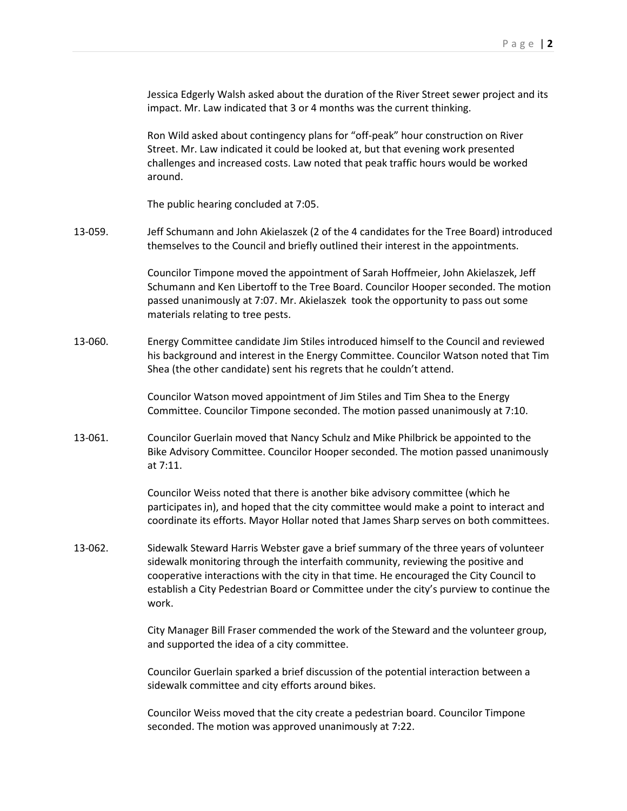Jessica Edgerly Walsh asked about the duration of the River Street sewer project and its impact. Mr. Law indicated that 3 or 4 months was the current thinking.

Ron Wild asked about contingency plans for "off-peak" hour construction on River Street. Mr. Law indicated it could be looked at, but that evening work presented challenges and increased costs. Law noted that peak traffic hours would be worked around.

The public hearing concluded at 7:05.

13-059. Jeff Schumann and John Akielaszek (2 of the 4 candidates for the Tree Board) introduced themselves to the Council and briefly outlined their interest in the appointments.

> Councilor Timpone moved the appointment of Sarah Hoffmeier, John Akielaszek, Jeff Schumann and Ken Libertoff to the Tree Board. Councilor Hooper seconded. The motion passed unanimously at 7:07. Mr. Akielaszek took the opportunity to pass out some materials relating to tree pests.

13-060. Energy Committee candidate Jim Stiles introduced himself to the Council and reviewed his background and interest in the Energy Committee. Councilor Watson noted that Tim Shea (the other candidate) sent his regrets that he couldn't attend.

> Councilor Watson moved appointment of Jim Stiles and Tim Shea to the Energy Committee. Councilor Timpone seconded. The motion passed unanimously at 7:10.

13-061. Councilor Guerlain moved that Nancy Schulz and Mike Philbrick be appointed to the Bike Advisory Committee. Councilor Hooper seconded. The motion passed unanimously at 7:11.

> Councilor Weiss noted that there is another bike advisory committee (which he participates in), and hoped that the city committee would make a point to interact and coordinate its efforts. Mayor Hollar noted that James Sharp serves on both committees.

13-062. Sidewalk Steward Harris Webster gave a brief summary of the three years of volunteer sidewalk monitoring through the interfaith community, reviewing the positive and cooperative interactions with the city in that time. He encouraged the City Council to establish a City Pedestrian Board or Committee under the city's purview to continue the work.

> City Manager Bill Fraser commended the work of the Steward and the volunteer group, and supported the idea of a city committee.

Councilor Guerlain sparked a brief discussion of the potential interaction between a sidewalk committee and city efforts around bikes.

Councilor Weiss moved that the city create a pedestrian board. Councilor Timpone seconded. The motion was approved unanimously at 7:22.